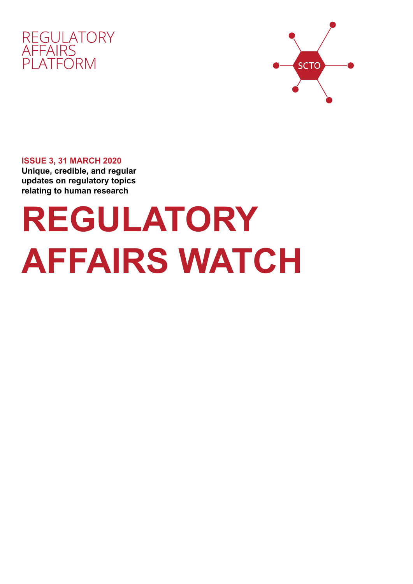



**ISSUE 3, 31 MARCH 2020 Unique, credible, and regular updates on regulatory topics relating to human research**

# **REGULATORY AFFAIRS WATCH**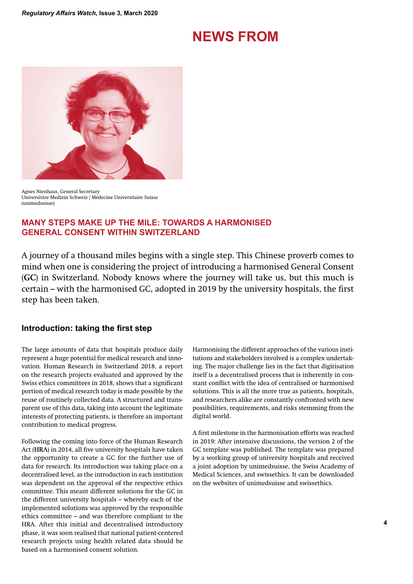# **NEWS FROM**



Agnes Nienhaus, General Secretary Universitäre Medizin Schweiz / Médecine Universitaire Suisse (unimedsuisse)

### **MANY STEPS MAKE UP THE MILE: TOWARDS A HARMONISED GENERAL CONSENT WITHIN SWITZERLAND**

A journey of a thousand miles begins with a single step. This Chinese proverb comes to mind when one is considering the project of introducing a harmonised General Consent (**GC**) in Switzerland. Nobody knows where the journey will take us, but this much is certain – with the harmonised GC, adopted in 2019 by the university hospitals, the first step has been taken.

#### **Introduction: taking the first step**

The large amounts of data that hospitals produce daily represent a huge potential for medical research and innovation. Human Research in Switzerland 2018, a report on the research projects evaluated and approved by the Swiss ethics committees in 2018, shows that a significant portion of medical research today is made possible by the reuse of routinely collected data. A structured and transparent use of this data, taking into account the legitimate interests of protecting patients, is therefore an important contribution to medical progress.

Following the coming into force of the Human Research Act (**HRA**) in 2014, all five university hospitals have taken the opportunity to create a GC for the further use of data for research. Its introduction was taking place on a decentralised level, as the introduction in each institution was dependent on the approval of the respective ethics committee. This meant different solutions for the GC in the different university hospitals – whereby each of the implemented solutions was approved by the responsible ethics committee – and was therefore compliant to the HRA. After this initial and decentralised introductory phase, it was soon realised that national patient-centered research projects using health related data should be based on a harmonised consent solution.

Harmonising the different approaches of the various institutions and stakeholders involved is a complex undertaking. The major challenge lies in the fact that digitisation itself is a decentralised process that is inherently in constant conflict with the idea of centralised or harmonised solutions. This is all the more true as patients, hospitals, and researchers alike are constantly confronted with new possibilities, requirements, and risks stemming from the digital world.

A first milestone in the harmonisation efforts was reached in 2019: After intensive discussions, the version 2 of the GC template was published. The template was prepared by a working group of university hospitals and received a joint adoption by unimedsuisse, the Swiss Academy of Medical Sciences, and swissethics. It can be downloaded on the websites of unimedsuisse and swissethics.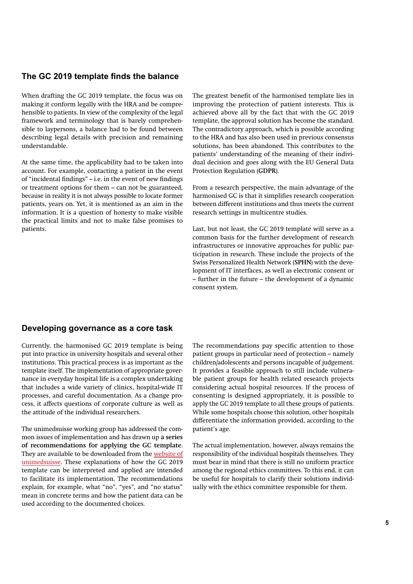#### **The GC 2019 template finds the balance**

When drafting the GC 2019 template, the focus was on making it conform legally with the HRA and be comprehensible to patients. In view of the complexity of the legal framework and terminology that is barely comprehensible to laypersons, a balance had to be found between describing legal details with precision and remaining understandable.

At the same time, the applicability had to be taken into account. For example, contacting a patient in the event of "incidental findings" – i.e. in the event of new findings or treatment options for them – can not be guaranteed, because in reality it is not always possible to locate former patients, years on. Yet, it is mentioned as an aim in the information. It is a question of honesty to make visible the practical limits and not to make false promises to patients.

The greatest benefit of the harmonised template lies in improving the protection of patient interests. This is achieved above all by the fact that with the GC 2019 template, the approval solution has become the standard. The contradictory approach, which is possible according to the HRA and has also been used in previous consensus solutions, has been abandoned. This contributes to the patients' understanding of the meaning of their individual decision and goes along with the EU General Data Protection Regulation (**GDPR**).

From a research perspective, the main advantage of the harmonised GC is that it simplifies research cooperation between different institutions and thus meets the current research settings in multicentre studies.

Last, but not least, the GC 2019 template will serve as a common basis for the further development of research infrastructures or innovative approaches for public participation in research. These include the projects of the Swiss Personalized Health Network (**SPHN**) with the development of IT interfaces, as well as electronic consent or – further in the future – the development of a dynamic consent system.

#### **Developing governance as a core task**

Currently, the harmonised GC 2019 template is being put into practice in university hospitals and several other institutions. This practical process is as important as the template itself. The implementation of appropriate governance in everyday hospital life is a complex undertaking that includes a wide variety of clinics, hospital-wide IT processes, and careful documentation. As a change process, it affects questions of corporate culture as well as the attitude of the individual researchers.

The unimedsuisse working group has addressed the common issues of implementation and has drawn up **a series of recommendations for applying the GC template**. They are available to be downloaded from the [website of](https://www.unimedsuisse.ch/de/projekte/generalkonsent)  [unimedsuisse](https://www.unimedsuisse.ch/de/projekte/generalkonsent). These explanations of how the GC 2019 template can be interpreted and applied are intended to facilitate its implementation. The recommendations explain, for example, what "no", "yes", and "no status" mean in concrete terms and how the patient data can be used according to the documented choices.

The recommendations pay specific attention to those patient groups in particular need of protection – namely children/adolescents and persons incapable of judgement. It provides a feasible approach to still include vulnerable patient groups for health related research projects considering actual hospital resources. If the process of consenting is designed appropriately, it is possible to apply the GC 2019 template to all these groups of patients. While some hospitals choose this solution, other hospitals differentiate the information provided, according to the patient's age.

The actual implementation, however, always remains the responsibility of the individual hospitals themselves. They must bear in mind that there is still no uniform practice among the regional ethics committees. To this end, it can be useful for hospitals to clarify their solutions individually with the ethics committee responsible for them.